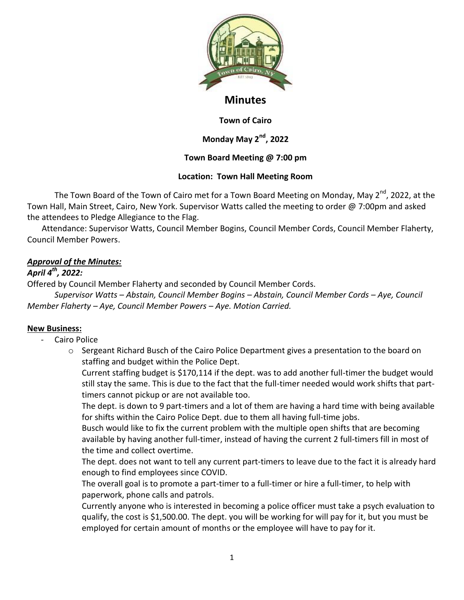

# **Minutes**

#### **Town of Cairo**

## **Monday May 2nd, 2022**

### **Town Board Meeting @ 7:00 pm**

### **Location: Town Hall Meeting Room**

The Town Board of the Town of Cairo met for a Town Board Meeting on Monday, May 2<sup>nd</sup>, 2022, at the Town Hall, Main Street, Cairo, New York. Supervisor Watts called the meeting to order @ 7:00pm and asked the attendees to Pledge Allegiance to the Flag.

 Attendance: Supervisor Watts, Council Member Bogins, Council Member Cords, Council Member Flaherty, Council Member Powers.

## *Approval of the Minutes:*

## *April 4th, 2022:*

Offered by Council Member Flaherty and seconded by Council Member Cords.

*Supervisor Watts – Abstain, Council Member Bogins – Abstain, Council Member Cords – Aye, Council Member Flaherty – Aye, Council Member Powers – Aye. Motion Carried.*

### **New Business:**

- Cairo Police
	- $\circ$  Sergeant Richard Busch of the Cairo Police Department gives a presentation to the board on staffing and budget within the Police Dept.

Current staffing budget is \$170,114 if the dept. was to add another full-timer the budget would still stay the same. This is due to the fact that the full-timer needed would work shifts that parttimers cannot pickup or are not available too.

The dept. is down to 9 part-timers and a lot of them are having a hard time with being available for shifts within the Cairo Police Dept. due to them all having full-time jobs.

Busch would like to fix the current problem with the multiple open shifts that are becoming available by having another full-timer, instead of having the current 2 full-timers fill in most of the time and collect overtime.

The dept. does not want to tell any current part-timers to leave due to the fact it is already hard enough to find employees since COVID.

The overall goal is to promote a part-timer to a full-timer or hire a full-timer, to help with paperwork, phone calls and patrols.

Currently anyone who is interested in becoming a police officer must take a psych evaluation to qualify, the cost is \$1,500.00. The dept. you will be working for will pay for it, but you must be employed for certain amount of months or the employee will have to pay for it.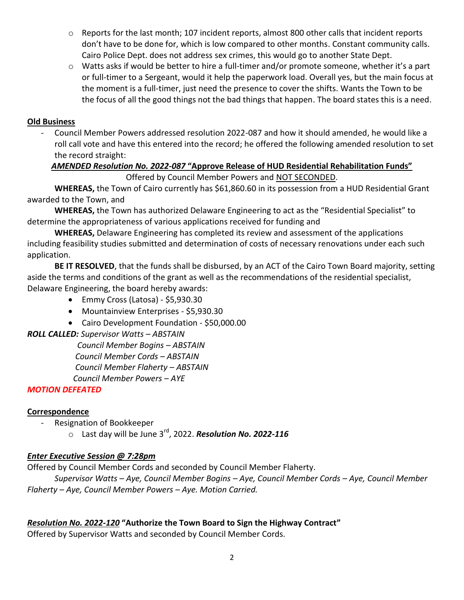- o Reports for the last month; 107 incident reports, almost 800 other calls that incident reports don't have to be done for, which is low compared to other months. Constant community calls. Cairo Police Dept. does not address sex crimes, this would go to another State Dept.
- o Watts asks if would be better to hire a full-timer and/or promote someone, whether it's a part or full-timer to a Sergeant, would it help the paperwork load. Overall yes, but the main focus at the moment is a full-timer, just need the presence to cover the shifts. Wants the Town to be the focus of all the good things not the bad things that happen. The board states this is a need.

## **Old Business**

- Council Member Powers addressed resolution 2022-087 and how it should amended, he would like a roll call vote and have this entered into the record; he offered the following amended resolution to set the record straight:

# *AMENDED Resolution No. 2022-087* **"Approve Release of HUD Residential Rehabilitation Funds"**

Offered by Council Member Powers and NOT SECONDED.

**WHEREAS,** the Town of Cairo currently has \$61,860.60 in its possession from a HUD Residential Grant awarded to the Town, and

**WHEREAS,** the Town has authorized Delaware Engineering to act as the "Residential Specialist" to determine the appropriateness of various applications received for funding and

**WHEREAS,** Delaware Engineering has completed its review and assessment of the applications including feasibility studies submitted and determination of costs of necessary renovations under each such application.

**BE IT RESOLVED**, that the funds shall be disbursed, by an ACT of the Cairo Town Board majority, setting aside the terms and conditions of the grant as well as the recommendations of the residential specialist, Delaware Engineering, the board hereby awards:

- Emmy Cross (Latosa) \$5,930.30
- Mountainview Enterprises \$5,930.30
- Cairo Development Foundation \$50,000.00

## *ROLL CALLED: Supervisor Watts – ABSTAIN*

 *Council Member Bogins – ABSTAIN*

 *Council Member Cords – ABSTAIN*

 *Council Member Flaherty – ABSTAIN*

 *Council Member Powers – AYE*

## *MOTION DEFEATED*

## **Correspondence**

Resignation of Bookkeeper

o Last day will be June 3rd, 2022. *Resolution No. 2022-116*

## *Enter Executive Session @ 7:28pm*

Offered by Council Member Cords and seconded by Council Member Flaherty.

*Supervisor Watts – Aye, Council Member Bogins – Aye, Council Member Cords – Aye, Council Member Flaherty – Aye, Council Member Powers – Aye. Motion Carried.*

## *Resolution No. 2022-120* **"Authorize the Town Board to Sign the Highway Contract"**

Offered by Supervisor Watts and seconded by Council Member Cords.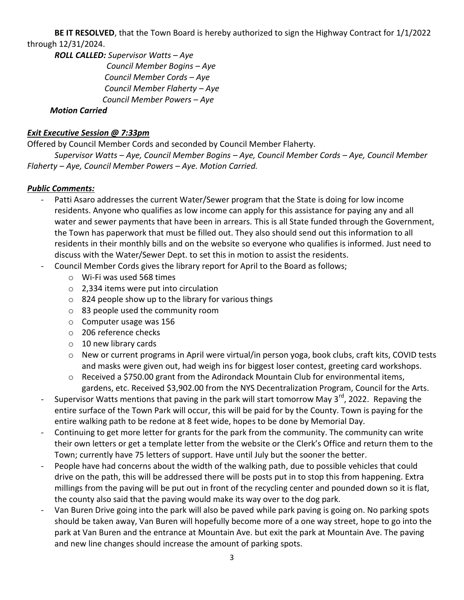**BE IT RESOLVED**, that the Town Board is hereby authorized to sign the Highway Contract for 1/1/2022 through 12/31/2024.

*ROLL CALLED: Supervisor Watts – Aye Council Member Bogins – Aye Council Member Cords – Aye Council Member Flaherty – Aye Council Member Powers – Aye*

#### *Motion Carried*

### *Exit Executive Session @ 7:33pm*

Offered by Council Member Cords and seconded by Council Member Flaherty.

*Supervisor Watts – Aye, Council Member Bogins – Aye, Council Member Cords – Aye, Council Member Flaherty – Aye, Council Member Powers – Aye. Motion Carried.*

#### *Public Comments:*

- Patti Asaro addresses the current Water/Sewer program that the State is doing for low income residents. Anyone who qualifies as low income can apply for this assistance for paying any and all water and sewer payments that have been in arrears. This is all State funded through the Government, the Town has paperwork that must be filled out. They also should send out this information to all residents in their monthly bills and on the website so everyone who qualifies is informed. Just need to discuss with the Water/Sewer Dept. to set this in motion to assist the residents.
- Council Member Cords gives the library report for April to the Board as follows;
	- o Wi-Fi was used 568 times
	- o 2,334 items were put into circulation
	- o 824 people show up to the library for various things
	- o 83 people used the community room
	- o Computer usage was 156
	- o 206 reference checks
	- o 10 new library cards
	- o New or current programs in April were virtual/in person yoga, book clubs, craft kits, COVID tests and masks were given out, had weigh ins for biggest loser contest, greeting card workshops.
	- $\circ$  Received a \$750.00 grant from the Adirondack Mountain Club for environmental items, gardens, etc. Received \$3,902.00 from the NYS Decentralization Program, Council for the Arts.
- Supervisor Watts mentions that paving in the park will start tomorrow May 3<sup>rd</sup>, 2022. Repaving the entire surface of the Town Park will occur, this will be paid for by the County. Town is paying for the entire walking path to be redone at 8 feet wide, hopes to be done by Memorial Day.
- Continuing to get more letter for grants for the park from the community. The community can write their own letters or get a template letter from the website or the Clerk's Office and return them to the Town; currently have 75 letters of support. Have until July but the sooner the better.
- People have had concerns about the width of the walking path, due to possible vehicles that could drive on the path, this will be addressed there will be posts put in to stop this from happening. Extra millings from the paving will be put out in front of the recycling center and pounded down so it is flat, the county also said that the paving would make its way over to the dog park.
- Van Buren Drive going into the park will also be paved while park paving is going on. No parking spots should be taken away, Van Buren will hopefully become more of a one way street, hope to go into the park at Van Buren and the entrance at Mountain Ave. but exit the park at Mountain Ave. The paving and new line changes should increase the amount of parking spots.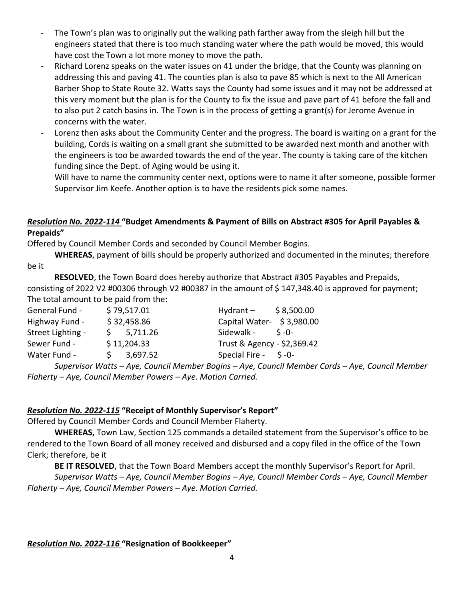- The Town's plan was to originally put the walking path farther away from the sleigh hill but the engineers stated that there is too much standing water where the path would be moved, this would have cost the Town a lot more money to move the path.
- Richard Lorenz speaks on the water issues on 41 under the bridge, that the County was planning on addressing this and paving 41. The counties plan is also to pave 85 which is next to the All American Barber Shop to State Route 32. Watts says the County had some issues and it may not be addressed at this very moment but the plan is for the County to fix the issue and pave part of 41 before the fall and to also put 2 catch basins in. The Town is in the process of getting a grant(s) for Jerome Avenue in concerns with the water.
- Lorenz then asks about the Community Center and the progress. The board is waiting on a grant for the building, Cords is waiting on a small grant she submitted to be awarded next month and another with the engineers is too be awarded towards the end of the year. The county is taking care of the kitchen funding since the Dept. of Aging would be using it.

Will have to name the community center next, options were to name it after someone, possible former Supervisor Jim Keefe. Another option is to have the residents pick some names.

## *Resolution No. 2022-114* **"Budget Amendments & Payment of Bills on Abstract #305 for April Payables & Prepaids"**

Offered by Council Member Cords and seconded by Council Member Bogins.

**WHEREAS**, payment of bills should be properly authorized and documented in the minutes; therefore be it

**RESOLVED**, the Town Board does hereby authorize that Abstract #305 Payables and Prepaids, consisting of 2022 V2 #00306 through V2 #00387 in the amount of \$147,348.40 is approved for payment; The total amount to be paid from the:

| General Fund -    |             | \$79,517.01 | Hydrant $-$ \$8,500.00                                                           |
|-------------------|-------------|-------------|----------------------------------------------------------------------------------|
| Highway Fund -    | \$32,458.86 |             | Capital Water- $\frac{1}{2}$ 3,980.00                                            |
| Street Lighting - |             | 5,711.26    | Sidewalk - \$-0-                                                                 |
| Sewer Fund -      |             | \$11,204.33 | Trust & Agency - \$2,369.42                                                      |
| Water Fund -      | S.          | 3,697.52    | Special Fire - \$ -0-                                                            |
|                   |             |             | Cupenicar Watte Ave Coupeil Member Bogine Ave Coupeil Member Carde Ave Coupeil N |

*Supervisor Watts – Aye, Council Member Bogins – Aye, Council Member Cords – Aye, Council Member Flaherty – Aye, Council Member Powers – Aye. Motion Carried.*

## *Resolution No. 2022-115* **"Receipt of Monthly Supervisor's Report"**

Offered by Council Member Cords and Council Member Flaherty.

**WHEREAS,** Town Law, Section 125 commands a detailed statement from the Supervisor's office to be rendered to the Town Board of all money received and disbursed and a copy filed in the office of the Town Clerk; therefore, be it

**BE IT RESOLVED**, that the Town Board Members accept the monthly Supervisor's Report for April. *Supervisor Watts – Aye, Council Member Bogins – Aye, Council Member Cords – Aye, Council Member Flaherty – Aye, Council Member Powers – Aye. Motion Carried.*

*Resolution No. 2022-116* **"Resignation of Bookkeeper"**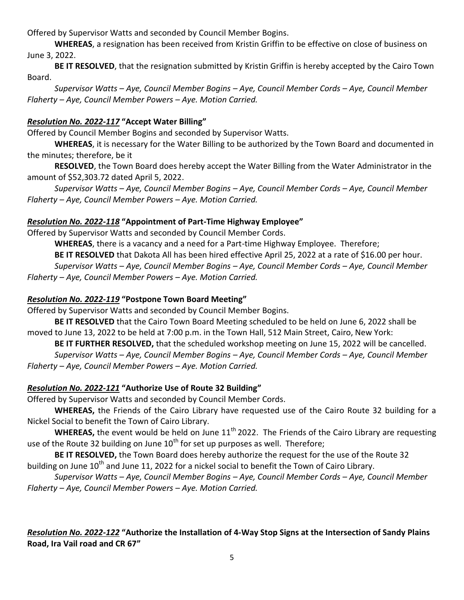Offered by Supervisor Watts and seconded by Council Member Bogins.

**WHEREAS**, a resignation has been received from Kristin Griffin to be effective on close of business on June 3, 2022.

**BE IT RESOLVED**, that the resignation submitted by Kristin Griffin is hereby accepted by the Cairo Town Board.

*Supervisor Watts – Aye, Council Member Bogins – Aye, Council Member Cords – Aye, Council Member Flaherty – Aye, Council Member Powers – Aye. Motion Carried.*

#### *Resolution No. 2022-117* **"Accept Water Billing"**

Offered by Council Member Bogins and seconded by Supervisor Watts.

**WHEREAS**, it is necessary for the Water Billing to be authorized by the Town Board and documented in the minutes; therefore, be it

**RESOLVED**, the Town Board does hereby accept the Water Billing from the Water Administrator in the amount of \$52,303.72 dated April 5, 2022.

*Supervisor Watts – Aye, Council Member Bogins – Aye, Council Member Cords – Aye, Council Member Flaherty – Aye, Council Member Powers – Aye. Motion Carried.*

#### *Resolution No. 2022-118* **"Appointment of Part-Time Highway Employee"**

Offered by Supervisor Watts and seconded by Council Member Cords.

**WHEREAS**, there is a vacancy and a need for a Part-time Highway Employee. Therefore;

**BE IT RESOLVED** that Dakota All has been hired effective April 25, 2022 at a rate of \$16.00 per hour. *Supervisor Watts – Aye, Council Member Bogins – Aye, Council Member Cords – Aye, Council Member Flaherty – Aye, Council Member Powers – Aye. Motion Carried.*

#### *Resolution No. 2022-119* **"Postpone Town Board Meeting"**

Offered by Supervisor Watts and seconded by Council Member Bogins.

**BE IT RESOLVED** that the Cairo Town Board Meeting scheduled to be held on June 6, 2022 shall be moved to June 13, 2022 to be held at 7:00 p.m. in the Town Hall, 512 Main Street, Cairo, New York:

**BE IT FURTHER RESOLVED,** that the scheduled workshop meeting on June 15, 2022 will be cancelled. *Supervisor Watts – Aye, Council Member Bogins – Aye, Council Member Cords – Aye, Council Member Flaherty – Aye, Council Member Powers – Aye. Motion Carried.*

### *Resolution No. 2022-121* **"Authorize Use of Route 32 Building"**

Offered by Supervisor Watts and seconded by Council Member Cords.

**WHEREAS,** the Friends of the Cairo Library have requested use of the Cairo Route 32 building for a Nickel Social to benefit the Town of Cairo Library.

**WHEREAS,** the event would be held on June 11<sup>th</sup> 2022. The Friends of the Cairo Library are requesting use of the Route 32 building on June  $10^{th}$  for set up purposes as well. Therefore;

**BE IT RESOLVED,** the Town Board does hereby authorize the request for the use of the Route 32 building on June 10<sup>th</sup> and June 11, 2022 for a nickel social to benefit the Town of Cairo Library.

*Supervisor Watts – Aye, Council Member Bogins – Aye, Council Member Cords – Aye, Council Member Flaherty – Aye, Council Member Powers – Aye. Motion Carried.*

## *Resolution No. 2022-122* **"Authorize the Installation of 4-Way Stop Signs at the Intersection of Sandy Plains Road, Ira Vail road and CR 67"**